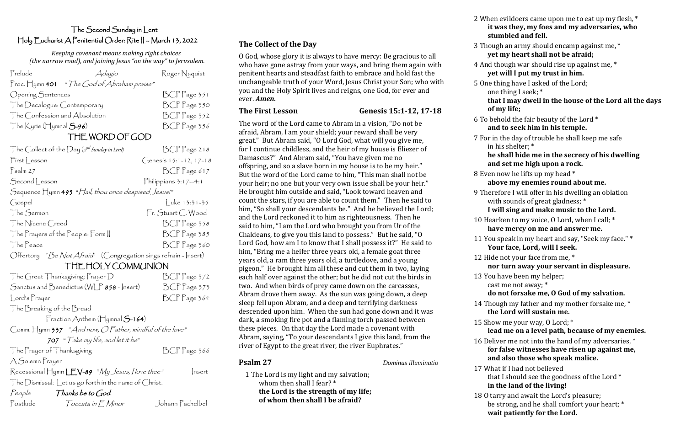# The Second Sunday in Lent Holy Eucharist A Penitential Order: Rite II – March 13, 2022

| Prelude                                                                 | Adagío                                              | Roger Nyquist          |  |  |  |  |
|-------------------------------------------------------------------------|-----------------------------------------------------|------------------------|--|--|--|--|
| Proc. Hymn <b>401</b> " <i>The God of Abraham praise"</i>               |                                                     |                        |  |  |  |  |
| Opening Sentences                                                       |                                                     | $BCP$ Page 351         |  |  |  |  |
| The Decalogue: Contemporary                                             |                                                     | BCP Page 350           |  |  |  |  |
| The Confession and Absolution                                           | BCP Page 352                                        |                        |  |  |  |  |
| The Kyrie (Hymnal 5-96)                                                 |                                                     | BCP Page 356           |  |  |  |  |
| THE WORD OF GOD                                                         |                                                     |                        |  |  |  |  |
| The Collect of the Day ( $2^{nd}$ Sunday in Lent)                       |                                                     | $BCP$ Page 218         |  |  |  |  |
| $First$ Lesson                                                          |                                                     | Genesis 15:1-12, 17-18 |  |  |  |  |
| $P_{\text{salm 27}}$                                                    |                                                     | $BCP$ Page 617         |  |  |  |  |
| Second Lesson                                                           |                                                     | Philippians $3:17-4:1$ |  |  |  |  |
| Sequence Hymn 495 <i>"Hail, thou once despised Jesus!"</i>              |                                                     |                        |  |  |  |  |
| Gospel                                                                  |                                                     | Luke 13:31-35          |  |  |  |  |
| The Sermon                                                              |                                                     | Fr. Stuart C. Wood     |  |  |  |  |
| The Nicene Creed                                                        |                                                     | $BCP$ Page 358         |  |  |  |  |
| The Prayers of the People: Form                                         |                                                     | BCP Page 385           |  |  |  |  |
| The Peace                                                               |                                                     | $BCP$ Page 360         |  |  |  |  |
| Offertory <i>"Be Not Afraíd</i> " (Congregation sings refrain - Insert) |                                                     |                        |  |  |  |  |
|                                                                         | THE HOLY COMMUNION                                  |                        |  |  |  |  |
| The Great Thanksgiving: $\Gamma$ rayer $D$                              |                                                     | BCP Page 372           |  |  |  |  |
|                                                                         | Sanctus and Benedictus (WLP $858$ - $ nvert\rangle$ | BCPPage 373            |  |  |  |  |
| Lord's Prayer                                                           |                                                     | $BCP$ Page 364         |  |  |  |  |
| The Breaking of the Bread                                               |                                                     |                        |  |  |  |  |
| Fraction Anthem (Hymnal S-164)                                          |                                                     |                        |  |  |  |  |
| Comm. Hymn 337 "And now, O Father, mindful of the love"                 |                                                     |                        |  |  |  |  |
|                                                                         | 707 $\degree$ T ake my life, and let it be"         |                        |  |  |  |  |
| The Prayer of Thanksgiving                                              |                                                     | $BCP$ Page 366         |  |  |  |  |
| A Solemn Prayer                                                         |                                                     |                        |  |  |  |  |
|                                                                         | Recessional Hymn $LEV-89$ "My Jesus, I love thee"   | nsert                  |  |  |  |  |
| The Dismissal: Let us go forth in the name of Christ.                   |                                                     |                        |  |  |  |  |
| People                                                                  | Thanks be to God.                                   |                        |  |  |  |  |
| Postlude                                                                | $\mathcal T$ occata in $\mathcal E$ Minor           | Johann Pachelbel       |  |  |  |  |

 *Keeping covenant means making right choices (the narrow road), and joining Jesus "on the way" to Jerusalem.*

# **The Collect of the Day**

O God, whose glory it is always to have mercy: Be gracious to all who have gone astray from your ways, and bring them again with penitent hearts and steadfast faith to embrace and hold fast the unchangeable truth of your Word, Jesus Christ your Son; who with you and the Holy Spirit lives and reigns, one God, for ever and ever. *Amen.*

## **The First Lesson Genesis 15:1-12, 17-18**

The word of the Lord came to Abram in a vision, "Do not be afraid, Abram, I am your shield; your reward shall be very great." But Abram said, "O Lord God, what will you give me, for I continue childless, and the heir of my house is Eliezer of Damascus?" And Abram said, "You have given me no offspring, and so a slave born in my house is to be my heir." But the word of the Lord came to him, "This man shall not be your heir; no one but your very own issue shall be your heir." He brought him outside and said, "Look toward heaven and count the stars, if you are able to count them." Then he said to him, "So shall your descendants be." And he believed the Lord; and the Lord reckoned it to him as righteousness. Then he said to him, "I am the Lord who brought you from Ur of the Chaldeans, to give you this land to possess." But he said, "O Lord God, how am I to know that I shall possess it?" He said to him, "Bring me a heifer three years old, a female goat three years old, a ram three years old, a turtledove, and a young pigeon." He brought him all these and cut them in two, laying each half over against the other; but he did not cut the birds in two. And when birds of prey came down on the carcasses, Abram drove them away. As the sun was going down, a deep sleep fell upon Abram, and a deep and terrifying darkness descended upon him. When the sun had gone down and it was dark, a smoking fire pot and a flaming torch passed between these pieces. On that day the Lord made a covenant with Abram, saying, "To your descendants I give this land, from the river of Egypt to the great river, the river Euphrates."

## **Psalm 27** *Dominus illuminatio*

1 The Lord is my light and my salvation; whom then shall I fear? \* **the Lord is the strength of my life; of whom then shall I be afraid?**

2 When evildoers came upon me to eat up my flesh, \* **it was they, my foes and my adversaries, who stumbled and fell.** 3 Though an army should encamp against me, \* **yet my heart shall not be afraid;** 4 And though war should rise up against me, \* **yet will I put my trust in him.** 5 One thing have I asked of the Lord; one thing I seek; \* **that I may dwell in the house of the Lord all the days of my life;** 6 To behold the fair beauty of the Lord \* **and to seek him in his temple.** 7 For in the day of trouble he shall keep me safe in his shelter; \* **he shall hide me in the secrecy of his dwelling and set me high upon a rock.** 8 Even now he lifts up my head \* **above my enemies round about me.** 9 Therefore I will offer in his dwelling an oblation with sounds of great gladness; \* **I will sing and make music to the Lord.** 10 Hearken to my voice, O Lord, when I call; \* **have mercy on me and answer me.** 11 You speak in my heart and say, "Seek my face." \* **Your face, Lord, will I seek.** 12 Hide not your face from me, \* **nor turn away your servant in displeasure.** 13 You have been my helper; cast me not away; \* **do not forsake me, O God of my salvation.** 14 Though my father and my mother forsake me, \* **the Lord will sustain me.** 15 Show me your way, O Lord; \* **lead me on a level path, because of my enemies.** 16 Deliver me not into the hand of my adversaries, \* **for false witnesses have risen up against me, and also those who speak malice.** 17 What if I had not believed that I should see the goodness of the Lord \* **in the land of the living!** 18 O tarry and await the Lord's pleasure; be strong, and he shall comfort your heart; \* **wait patiently for the Lord.**